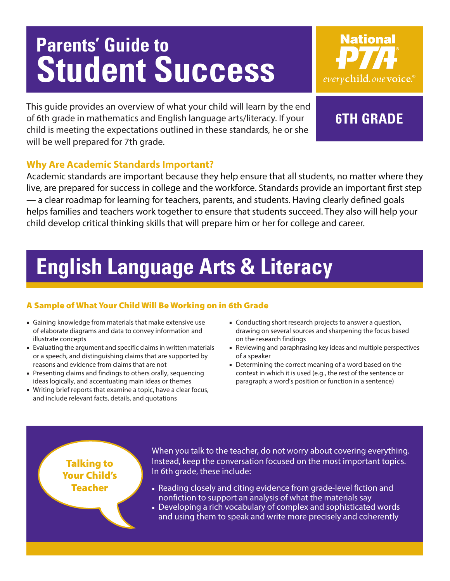# **Parents' Guide to Student Success**



This guide provides an overview of what your child will learn by the end of 6th grade in mathematics and English language arts/literacy. If your child is meeting the expectations outlined in these standards, he or she will be well prepared for 7th grade.

### **6th grade**

### **Why Are Academic Standards Important?**

Academic standards are important because they help ensure that all students, no matter where they live, are prepared for success in college and the workforce. Standards provide an important first step — a clear roadmap for learning for teachers, parents, and students. Having clearly defined goals helps families and teachers work together to ensure that students succeed. They also will help your child develop critical thinking skills that will prepare him or her for college and career.

### **English Language Arts & Literacy**

### A Sample of What Your Child Will Be Working on in 6th Grade

- Gaining knowledge from materials that make extensive use of elaborate diagrams and data to convey information and illustrate concepts
- Evaluating the argument and specific claims in written materials or a speech, and distinguishing claims that are supported by reasons and evidence from claims that are not
- Presenting claims and findings to others orally, sequencing ideas logically, and accentuating main ideas or themes
- Writing brief reports that examine a topic, have a clear focus, and include relevant facts, details, and quotations
- Conducting short research projects to answer a question, drawing on several sources and sharpening the focus based on the research findings
- Reviewing and paraphrasing key ideas and multiple perspectives of a speaker
- Determining the correct meaning of a word based on the context in which it is used (e.g., the rest of the sentence or paragraph; a word's position or function in a sentence)

Talking to Your Child's Teacher

When you talk to the teacher, do not worry about covering everything. Instead, keep the conversation focused on the most important topics. In 6th grade, these include:

- Reading closely and citing evidence from grade-level fiction and nonfiction to support an analysis of what the materials say
- Developing a rich vocabulary of complex and sophisticated words and using them to speak and write more precisely and coherently